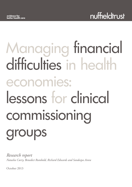# Managing financial difficulties in health economies: lessons for clinical commissioning groups

*Research report Natasha Curry, Benedict Rumbold, Richard Edwards and Sandeepa Arora*

October 2013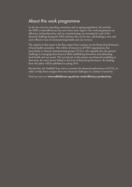### About this work programme

In the face of severe spending constraints and an ageing population, the need for the NHS to find efficiencies has never been more urgent. Our work programmes on efficiency and productivity, and on commissioning, are assessing the scale of the financial challenge facing the NHS and how this can be met, and looking at new and more effective ways of commissioning health and care services.

The analysis in this report is the first output from a project on the financial performance of local health economies. This will be of interest to all NHS organisations, but particularly to clinical commissioning groups (CCGs), who arguably face the greatest challenge in managing their finances while establishing themselves and addressing local health and care needs. The second part of the project uses financial modelling to determine the main factors linked to the level of financial performance: the findings from this phase will be published in spring 2014.

Beyond this, the Nuffield Trust aims to monitor the financial performance of CCGs, in order to help them navigate their own financial challenges in a climate of austerity.

Find out more at: **www.nuffieldtrust.org.uk/our-work/efficiency-productivity**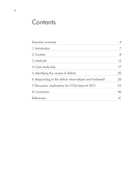### **Contents**

| Executive summary                                       | $\overline{4}$ |
|---------------------------------------------------------|----------------|
| 1. Introduction                                         | $\overline{7}$ |
| 2. Context                                              | 8              |
| 3. Methods                                              | 13             |
| 4. Case study sites                                     | 17             |
| 5. Identifying the causes of deficits                   | 20             |
| 6. Responding to the deficit: what helped and hindered? | 28             |
| 7. Discussion: implications for CCGs beyond 2013        | 35             |
| 8. Conclusion                                           | 40             |
| <b>References</b>                                       | 41             |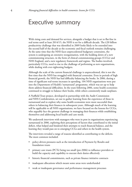### Executive summary

With rising costs and demand for services, alongside a budget that is set to flat-line in real terms until at least 2014/15, the NHS is set for a difficult decade. The £20 billion productivity challenge that was identified in 2009 looks likely to be extended into the second half of the decade as the economic and fiscal outlook remains challenging. At the same time that the NHS faces unprecedented budgetary constraints, the system is undergoing an extensive reorganisation, with the bedding down of a new commissioning structure, in the form of clinical commissioning groups (CCGs) and NHS England, and a new regulatory framework and regime. The bodies involved, particularly CCGs, need to rise to the challenge of performing as new organisations, while dealing with ever-tightening budgets.

Although the scale of the current financial challenge is unprecedented, this is not the first time that the NHS has struggled with financial constraint. Even in periods of high financial growth, the NHS has had difficulty balancing the books. In 2006, during a time of significant real-terms increases in spending, 104 NHS organisations were put into the Department of Health's 'turnaround' programme, which was set up to help them address financial difficulties. In the years following 2006, some health economies continued to struggle to balance their books, while others consistently made surpluses.

A Nuffield Trust project, developed in partnership with the Audit Commission and NHS Confederation, set out to gather learning from the experience of those in turnaround and to explore why some health economies were more successful than others in balancing their finances in subsequent years. Although much of the learning will be applicable to all NHS organisations, we have focused on the lessons for CCGs, who arguably face the greatest challenge in managing their finances while establishing themselves and addressing local health and care needs.

We undertook interviews with managers who were in post in organisations experiencing turnaround in 2006, exploring their perceptions of factors that contributed to the initial deficit, what helped and hindered their attempts to reach financial balance, and the learning they would pass on to emerging CCGs and others in the health system.

The interviews revealed a range of reasons identified as contributing to the deficits. The most common included:

- policy-driven pressures such as the introduction of Payment by Results and foundation trusts
- primary care trusts (PCTs) being too small (pre-2006) to influence providers or build the capacity and capability to execute their duties effectively
- historic financial commitments, such as private finance initiative contracts
- inadequate allocations which meant some areas were underfunded
- weak or inadequate governance and performance management processes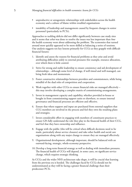- unproductive or antagonistic relationships with stakeholders across the health economy and a culture of blame within troubled organisations
- instability of leadership and management caused by frequent changes in senior personnel (particularly in PCTs).

Approaches to tackling deficits did not differ significantly between case study sites and it seems that *what* was done to resolve the issues was less important than *how* the health economy went about addressing the problem. The economies that turned around most quickly appeared to be more skilled at balancing a series of tensions. Our analysis suggests ten key lessons primarily for CCGs as they grapple with difficult financial futures:

- 1. Identify and assess the reasons for financial problems as they arise and avoid attributing difficulties solely to external pressures (for example, resource allocation, over which there is little control.
- 2. Strive for strong and stable leadership to ensure consistency and aid development of relationships – although some level of change, if well timed and well managed, can bring fresh ideas and momentum.
- 3. Foster constructive relationships between providers and commissioners, while being mindful of the dual roles of competition and cooperation.
- 4. Work together with other CCGs to ensure financial risks are managed effectively this may involve developing a complex matrix of commissioning arrangements.
- 5. Invest in management capacity and capability, whether provided in-house or bought in from commissioning support units or elsewhere, to ensure internal governance and financial processes are efficient and effective.
- 6. Ensure that where support and input are purchased from external suppliers that CCG members are involved in the process and feel they own the resulting plans and strategies.
- 7. Invest considerable effort in engaging with members of constituent practices to ensure GPs fully understand the role they play in the financial health of their CCG, and feel that they have ownership and influence.
- 8. Engage with the public (this will be critical when difficult decisions need to be made, particularly about service closures) and take other health and social care organisations along with any major change to ensure they are managed effectively.
- 9. Organisational development, although important, should be balanced with an outward-facing, strategic, whole-economy perspective.
- 10. Develop a long-term financial strategy as well as dealing with immediate pressures. The financial health of CCGs will depend, in some cases, on significant service change, which requires strategic thinking.

As CCGs and the wider NHS architecture take shape, it will be crucial that learning from the previous era is heeded. The challenges faced by CCGs should not be underestimated as they will be facing a greater financial challenge than their predecessor PCTs.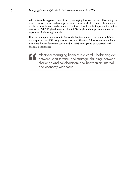What this study suggests is that effectively managing finances is a careful balancing act between short-termism and strategic planning; between challenge and collaboration; and between an internal and economy-wide focus. It will also be important for policymakers and NHS England to ensure that CCGs are given the support and tools to implement the learning identified.

This research report precedes a further study that is examining the trends in deficits and surplus in the NHS using quantitative data. The aim of the analysis set out here is to identify what factors are considered by NHS managers to be associated with financial performance.

effectively managing finances is a careful balancing act between short-termism and strategic planning; between challenge and collaboration; and between an internal and economy-wide focus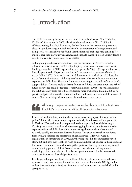### 1. Introduction

The NHS is currently facing an unprecedented financial situation. The 'Nicholson Challenge', first set out in 2009, identified the need to make £15-20 billion in efficiency savings by 2015. Ever since, the health service has been under pressure to close this productivity gap, which is driven by a combination of rising demand and rising costs. Recent analysis has found that the financial challenge may continue for much longer than previously anticipated and suggests that the NHS is actually facing a decade of austerity (Roberts and others, 2012).

Although unprecedented in scale, this is not the first time the NHS has faced a difficult financial situation. In 2004/05, despite year-on-year real-terms increases in funding, a number of NHS organisations overspent. By 2006, 104 organisations were formally put into the Department of Health's 'turnaround' programme (National Audit Office, 2007). In an early analysis of the reasons for such financial failure, the Audit Commission found a high degree of consistency between those organisations experiencing difficulties. The Audit Commission, writing in the midst of the crisis, also suggested that, if lessons could be learnt from such failures and acted upon, the risk of future occurrence could be reduced (Audit Commission, 2006). The situation facing the NHS currently looks set to be considerably more challenging than in 2006 as nogrowth budgets will mean that there are unlikely to be any surpluses to shift to areas of deficit. Nor can a rising tide of resources be used to overcome them.

Although unprecedented in scale, this is not the first time the NHS has faced a difficult financial situation

It was with such thinking in mind that we undertook this project. Returning to the period 2006 to 2010, we set out to explore both why health economies began to fail in 2004 to 2006, and how they responded to their respective financial challenges. Crucially, we wanted to explore why some struggling health economies continued to experience financial difficulties while others managed to turn themselves around relatively quickly and maintain financial balance. This analysis has taken two forms. First, we have explored the experiences of health service leaders who were in organisations in turnaround in 2006, how they responded in the immediate period after 2006 and how they sought to reach or maintain financial balance in the subsequent four years. The aim of this work was to gather pertinent learning for emerging clinical commissioning groups (CCGs). Second, we are currently undertaking financial modelling to determine whether there is any significant association between certain contextual factors and financial performance.

In this research report we detail the findings of the first element – the experience of managers – and seek to identify useful learning to assist those in the NHS grappling with tightening budgets. Findings from the second element will be published in the spring of 2014.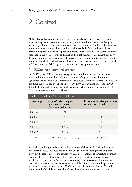### 2. Context

All NHS organisations, with the exception of foundation trusts, have a statutory responsibility not to overspend and, as such, are required to manage their budgets within tight financial constraints and complex accounting and funding rules. However, not all are able to contain their spending within available funds and, as such, each year some report a one-off overspend and others a recurrent one. The current financial challenge in the NHS (as well as the rest of the public sector) is prominent in policy discourse and organisational plans. However, it is important to note that this is not the first time that the NHS has faced a difficult financial situation in recent years. Indeed, in 2006, numerous NHS organisations were carrying significant deficits.

### 2.1 2006: the turnaround process

In 2005/06, the NHS as a whole overspent by around one per cent of its budget (£547 million in nominal prices), with a number of organisations falling into significant deficit (House of Commons Health Select Committee, 2007). This was the first time the NHS had overspent since 1999/2000 (Department of Health, 2006). Table 1 illustrates the gradual rise in the extent of deficits and in the proportion of NHS organisations carrying a deficit.

| Table 1. NHS deficit 2001/02 to 2005/06 |                                                                                     |                                                          |  |  |
|-----------------------------------------|-------------------------------------------------------------------------------------|----------------------------------------------------------|--|--|
| <b>Financial year</b>                   | Surplus/(deficit) reported<br>in audited accounts<br>$(\text{Em – nominal prices})$ | Per cent of NHS organisations<br>with an overall deficit |  |  |
| 2001/02                                 | 71                                                                                  | 8                                                        |  |  |
| 2002/03                                 | 96                                                                                  | 12                                                       |  |  |
| 2003/04                                 | 73                                                                                  | 18                                                       |  |  |
| 2004/05                                 | (251)                                                                               | 28                                                       |  |  |
| 2005/06                                 | 1547                                                                                | 31                                                       |  |  |

Source: House of Commons Health Select Committee, 2007; adapted from National Audit Office data

The deficits, although a relatively small percentage of the overall NHS budget, were of concern because they occurred at a time of sustained financial growth and were unevenly distributed across the country, with some organisations generating a surplus that partially off-set the deficits. The Department of Health's own analysis also highlighted a concern that 'sound financial management was seen as less important than delivery in other performance areas by both NHS bodies and the Department of Health' (Department of Health, 2006). A House of Commons Health Committee report into the NHS deficits concluded that the deficits were not new but were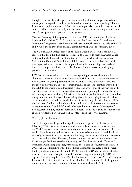brought to the fore by a change to the financial rules which no longer allowed an underspend on capital expenditure to be used to subsidise current spending (House of Commons Health Committee, 2006). The same report also concluded that the size of deficits had been growing steadily due to a combination of the funding formula, poor central management and poor local management.

The then Secretary of State pledged to bring the NHS back into financial balance by the end of 2006/07. To facilitate this process the Department of Health set up a 'turnaround' programme. Established in February 2006, the aim was to help 104 PCTs and NHS trusts address their financial difficulties (Department of Health, 2006).

The National Audit Office's report on the summarised NHS accounts for 2006/07 reported that the NHS had been successful in its attempts to reach financial balance. At the end of the financial year 2006/07, the NHS had achieved a net surplus of £515 million (National Audit Office, 2007). However, further analysis has revealed that organisations were financially supported, with the result being that nearly all broke even on paper at least. This redistribution of funds masks the underlying position of organisations.

PCTs had a statutory duty not to allow their spending to exceed their annual allocation – known as the revenue resource limit (RRL) – and so sometimes received non-recurrent in-year adjustments to their revenue resource allocations. This had the effect of allowing PCTs to meet their financial duties. The intention was to help the NHS to cope with local difficulties by 'plugging' overspends at the year-end with short-term fixes through revenue transfers from under-spending PCTs, usually in the same strategic health authority (SHA) area. This shifting of funds made the system less transparent and added a layer of uncertainty about the underlying financial position of organisations. It also distorted the impact of the funding allocation formula. This non-recurrent funding took different forms and titles, such as 'service level agreement' or 'planned support', and didn't need to be repaid in future years. Other types of non-recurrent funding took the form of cash 'loans' from one trust to another trust to enable providers to pay bills and staff in order to keep the service running.

### 2.2 Looking forward

The NHS experienced a period of significant financial growth for the ten years following 2000. That came to an end with the worldwide financial downturn and the Coalition Government's subsequent commitment to reduce the fiscal deficit. As a result, all public sector budgets have, and continue to be, squeezed. Health has been relatively protected from the cuts so far, with the government promising no real-terms cut to the health budget. However, the near-zero per cent real-terms increase in the health budget for the foreseeable future may well feel like a cut on the 'front-line' when faced with rising demands, particularly after a decade of sustained increase. In 2009, the Chief Executive of the NHS, David Nicholson, projected a gap between funding and cost pressures of around £15-20 billion by 2015 that would need to be met through productivity gains. In order to meet this gap in funding by 2015, all organisations were required to set Quality, Innovation, Productivity, Prevention targets. However, the UK economic and fiscal situation looks likely to remain challenging for some time and the period of austerity is set to continue beyond 2015.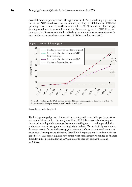Even if the current productivity challenge is met by 2014/15, modelling suggests that the English NHS could face a further funding gap of up to £28 billion by 2021/22 if spending is frozen in real terms (Roberts and others, 2012). In order to close the gap, funding would need to grow in line with the historic average for the NHS (four per cent a year) – this scenario is highly unlikely given announcements to continue with total public sector spending cuts to 2016/17 (Roberts and others, 2012).



Note: The funding gap for PCT-commissioned NHS services in England is displayed together with the estimate for the departmental expenditure limit, in brackets.

Source: Roberts and others, 2012

The likely prolonged period of financial uncertainty will pose challenges for providers and commissioners alike. The newly established CCGs face particular challenges – they are developing their new organisations and taking on extended responsibilities, at the same time as managing increasingly tight budgets. Trusts, similarly, continue to face an uncertain future as they struggle to generate sufficient income and savings to cover costs. It is important, therefore, that all NHS organisations learn from what has gone before. This report explores how senior NHS management responded to financial difficulty in the period following 2006, in order to identify pertinent learning for CCGs.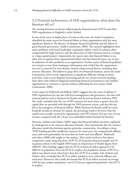### 2.3 Financial performance of NHS organisations: what does the literature tell us?

The existing literature on factors influencing the financial status of PCTs and other NHS organisations in England is rather limited.

In one of the more in-depth pieces of work on this issue, the Audit Commission identified the main reason for financial failure in those organisations with the most significant deficits as 'the absence of adequate financial leadership and the failure of good financial governance' (Audit Commission, 2006). The research highlighted three major problems with board leadership: inadequate calibre; a lack of cohesion often compounded by high turnover; and the distraction of other business (such as a merger or a large capital project). Importantly, the report states that financial failure is too often seen as separate from organisational failure and that financial issues can, in fact, be indicative of other problems in an organisation. Further causes of financial problems were found to stem from inadequate information and a belief that the organisation was not in control of its own destiny; instead citing external factors, including their resource allocation. This failure to grasp their own financial situation, asserts the Audit Commission, led to many organisations in significant difficulty relying on shortterm fixes, such as asset disposal, borrowing and the use of non-recurrent funding. Such short-term solutions disguised underlying financial circumstances and enabled organisations to continue to operate without addressing the root causes (Audit Commission, 2006).

A later paper by Hellowell and Pollock (2007) suggests that the cause of deficits in NHS organisations lies not just with local management and governance, but also with national policies such as Payment by Results and the private finance initiative (PFI). The study concludes that the cost of PFI contracts for most trusts is greater than the capital they are provided with through the NHS payment system, and that this has led to the emergence of financial deficits. While Payment by Results tariffs for acute hospitals include an element for capital, the percentage tends to be lower than the capital costs actually incurred by organisations with PFI schemes (8.3 per cent of trust income, compared with the 5.8 per cent embedded within Payment by Results).

However, Asthana and Gibson (2005) argue that financial deficits are better explained by inadequacies in the resource allocation formula. They demonstrate that the resource allocation model discriminates against particular communities. According to them, 'NHS funding provides insufficient resources for rural areas, for comparatively affluent areas, and most particularly, for areas that are both rural and affluent'. Badrinath and others (2006) add weight to this analysis. Their study involved a descriptive comparative study using data from 58 PCTs; 29 in greatest financial surplus and 29 in greatest deficit in the English NHS based on Department of Health figures from 2004/05. Their findings suggest that the PCTs in financial deficit appeared to be different in population from the PCTs in surplus: the population density of PCTs in deficit was almost seven times lower than that of PCTs in surplus. Like Asthana and Gibson, they concluded that PCTs in deficit tended to serve relatively affluent and rural areas. Moreover, their study also found that PCTs in deficit received on average £205 less per resident population, and £123 less per registered population, than PCTs in surplus.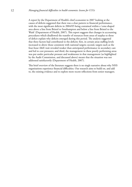A report by the Department of Health's chief economist in 2007 looking at the causes of deficits suggested that there was a clear pattern to financial performance, with the most significant deficits in 2004/05 being contained within a 'cone-shaped area above a line from Bristol to Southampton and below a line from Bristol to the Wash' (Department of Health, 2007). This report suggests that changes in accounting procedures which disallowed the transfer of resources from areas of surplus to those of deficit explain why deficits emerged during this period. The analysis suggested that three factors had contributed to the deficits: first, in certain areas staffing levels increased to above those consistent with national targets; second, targets such as the four-hour A&E wait revealed weaker than anticipated performance in secondary care and led to cost pressures; and third, the management in these poorly performing areas was put under particular pressure and weaknesses in that management (as highlighted by the Audit Commission, and discussed above) meant that the situation was not addressed satisfactorily (Department of Health, 2007).

This brief overview of the literature suggests there is no single narrative about why NHS organisations experience financial difficulties. Our research aims to build on, and add to, the existing evidence and to explore more recent reflections from senior managers.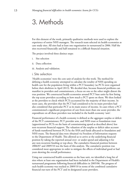### 3. Methods

For this element of the work, primarily qualitative methods were used to explore the experience of senior NHS managers. The research team selected six health economies as case study sites. All sites had at least one organisation in turnaround in 2006. Half the sites recovered financially and half remained in a difficult financial situation.

The project involved three distinct steps:

- i. Site selection
- ii. Data collection
- iii. Analysis and validation.

#### i. Site selection

'Health economies' were the core unit of analysis for this work. The method for defining a health economy attempted to calculate the totality of NHS spending on health care for the population living within a PCT boundary (as PCTs were organised before their abolition in April 2013). We decided that, because financial problems can manifest in providers and commissioners, a focus on one or the other might distort the true position. We constructed health economies around PCT base units by first listing the top acute providers according to how much a PCT spent on them. We then looked at the providers to check which PCTs accounted for the majority of their income. In most cases, the providers that the PCT had considered to be its main providers had also considered that particular PCT as its main source of income. In cases where a PCT commissioned a significant proportion of care from more than one acute provider, the expenditure on all those providers was included in the health economy 'unit'.

Financial performance of a health economy is defined as the aggregate surplus or deficit of the PCT commissioner, PCT provider arm, and NHS trust or foundation trust (apportioned to PCTs on the basis of commissioning spend as described above) less non-recurrent financial support. The valuation of the surplus or deficit takes account of funds transferred between PCTs by the SHA and funds allocated to foundation and NHS trusts. The financial data were obtained via Freedom of Information requests to the Department of Health. This allowed us to arrive at the underlying financial position by taking the reported annual over- or under-spend and adjusting it for any non-recurrent funding or top-slices. The cumulative financial position between 2006/07 and 2009/10 was the basis of this analysis. The cumulative position was considered most appropriate in order to mitigate the effects of individual good or bad years skewing the overall performance.

Using our constructed health economies as the base unit, we identified a long list of sites where at least one organisation had been included in the Department of Health's turnaround programme following financial difficulties in 2005/06. The progress of each health economy was tracked to 2009/10 in terms of the combined cumulative financial out-turn of the PCT and its designated acute providers.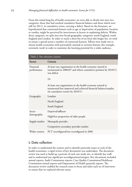From this initial long list of health economies, we were able to divide sites into two categories: those that had reached cumulative financial balance and those which were still (in 2011), in cumulative terms, carrying a deficit. Based on the literature, we hypothesised that contextual features such as age or deprivation of population, location or rurality, might be perceived by interviewees as factors in explaining deficits. Within those categories, we split sites into broad geographic categories: north England, south England and London. In order to reach a short-list of six from this longer list, we tried to ensure a spread across a number of contextual features. Efforts were made not to choose health economies with particularly unusual or extreme features (for example, extremely rural) in order to maximise the learning potential for a wider audience.

| Table 2. Site selection criteria |                                                                                                                                                                  |  |  |
|----------------------------------|------------------------------------------------------------------------------------------------------------------------------------------------------------------|--|--|
| Factor                           | Criteria                                                                                                                                                         |  |  |
| Financial<br>performance         | At least one organisation in the health economy started in<br>turnaround in 2006/07 and whose cumulative position by 2010/11<br>was deficit                      |  |  |
|                                  | $O_r$                                                                                                                                                            |  |  |
|                                  | At least one organisation in the health economy started in<br>turnaround but improved and achieved financial balance/surplus<br>(in cumulative terms) by 2010/11 |  |  |
| Geography                        | London                                                                                                                                                           |  |  |
|                                  | North England                                                                                                                                                    |  |  |
|                                  | South England                                                                                                                                                    |  |  |
| Socio-<br>demographic            | Deprived/affluent                                                                                                                                                |  |  |
|                                  | High/low proportion of older people                                                                                                                              |  |  |
| Supply market                    | Monopoly provider                                                                                                                                                |  |  |
|                                  | Competitive secondary provider market                                                                                                                            |  |  |
| Wider context                    | PCT reconfigured/not reconfigured in 2006                                                                                                                        |  |  |

### ii. Data collection

In order to understand the context and to identify particular issues in each of the health economies, a rapid review of key documents was undertaken. The document review was used to build up a portrait of each case study site, to identify key staff, and to understand any significant reconfigurations/mergers. Key documents included annual reports, Audit Commission reports, Care Quality Commission/Healthcare Commission annual reports and Department of Health quarterly reports. The document review enabled the research team to focus and tailor each set of interviews to ensure that we explored relevant issues.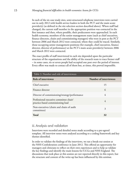In each of the six case study sites, semi-structured telephone interviews were carried out in early 2012 with health service leaders in both the PCT and the main acute provider(s) (as defined in the site selection section described above). Where staff had changed, the current staff member in the appropriate position was contacted in the first instance and then, where possible, their predecessors were approached. In each health economy, members of the senior management team (such as chief executives, finance directors, chairs and commissioning managers) who were in post at the PCT between 2006 and March 2012 were contacted, where they could be traced. Similarly, those occupying senior management positions (for example, chief executives, finance director, director of performance) at the PCT's main acute provider(s) between 2006 and March 2012 were contacted.

The exact profile of staff interviewed in each site depended upon the particular structure of the organisations and the ability of the research team to trace former staff – in some cases, six or seven people had occupied one post over the period of interest. Every effort was made to contact all of them but, at times, this proved impossible.

| Table 3. Number and role of interviewees                                     |                        |  |  |
|------------------------------------------------------------------------------|------------------------|--|--|
| Role of interviewee                                                          | Number of interviewees |  |  |
| Chief executive                                                              | 15                     |  |  |
| Finance director                                                             | 6                      |  |  |
| Director of commissioning/strategy/performance                               | 4                      |  |  |
| Professional executive committee chair/<br>practice-based commissioning lead | 4                      |  |  |
| Non-executives (chairs and chairs of audit<br>committees)                    | 3                      |  |  |
| Total                                                                        | 32                     |  |  |

### iii. Analysis and validation

Interviews were recorded and detailed notes made according to a pre-agreed template. All interview notes were analysed according to a coding framework and key themes identified.

In order to validate the findings of the interviews, we ran a break-out session at the NHS Confederation conference in June 2012. This offered an opportunity for managers and clinicians to reflect on their own experiences and to help us validate the key findings and identify the main lessons for CCGs and NHS England. The discussions that took place at this session are not reported directly in this report, but the structure and content of the write-up has been influenced by this seminar.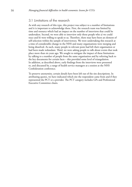### 3.1 Limitations of the research

As with any research of this type, this project was subject to a number of limitations and it is important to acknowledge these. First, the research team was limited by time and resource which had an impact on the number of interviews that could be undertaken. Second, we were able to interview only those people who a) we could trace and b) were willing to speak to us. Therefore, there may have been an element of self-selection within the sample of interviewees. We were undertaking this research at a time of considerable change in the NHS and many organisations were merging and being dissolved. As such, many people in relevant posts had left their organisation or had been made redundant. Third, we were asking people to talk about events that took place more than six years ago. We sought to mitigate the impact of these limitations by talking to a number of people from the same organisation and by referring back to the key documents for certain facts – this provided some level of triangulation. In addition, as described above, early findings from the interviews were presented to, and discussed by, a range of health service managers at a session at the NHS Confederation conference.

To preserve anonymity, certain details have been left out of the site descriptions. In attributing quotes, we have indicated which site the respondent came from and if they represented the PCT or a provider. The PCT category includes GPs and Professional Executive Committee chairs.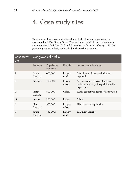# 4. Case study sites

Six sites were chosen as case studies. All sites had at least one organisation in turnaround in 2006. Sites A, B and C turned around their financial situations in the period after 2006. Sites D, E and F remained in financial difficulty to 2010/11 (according to our analysis, as described in the methods section).

| Case study<br>site | Geographical profile |                        |                  |                                                                                              |
|--------------------|----------------------|------------------------|------------------|----------------------------------------------------------------------------------------------|
|                    | Location             | Population<br>(approx) | <b>Rurality</b>  | Socio-economic status                                                                        |
| A                  | South<br>England     | 600,000                | Largely<br>rural | Mix of very affluent and relatively<br>deprived                                              |
| B                  | London               | 300,000                | Mostly<br>urban  | Very mixed in terms of affluence;<br>multicultural; large inequalities in life<br>expectancy |
| $\mathcal{C}$      | North<br>England     | 500,000                | Urban            | Ranks centrally in terms of deprivation                                                      |
| D                  | London               | 200,000                | Urban            | Mixed                                                                                        |
| E                  | North<br>England     | 300,000                | Largely<br>urban | High levels of deprivation                                                                   |
| $\overline{F}$     | South<br>England     | $750,000+$             | Largely<br>rural | Relatively affluent                                                                          |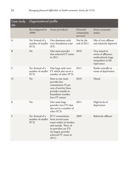| Case study<br>site | Organisational profile                                                  |                                                                                                                                                           |                                           |                                                                                                    |
|--------------------|-------------------------------------------------------------------------|-----------------------------------------------------------------------------------------------------------------------------------------------------------|-------------------------------------------|----------------------------------------------------------------------------------------------------|
|                    | Reconfigured in<br>2006?                                                | <b>Acute providers?</b>                                                                                                                                   | <b>Divested</b><br>community<br>services? | Socio-economic<br>status                                                                           |
| A                  | Yes: formed of a<br>number of smaller<br><b>PCTs</b>                    | One dominant early<br>wave foundation trust<br>(FT)                                                                                                       | Not by the<br>end of 2011                 | Mix of very affluent<br>and relatively deprived                                                    |
| B                  | No                                                                      | One main provider<br>that achieved FT status<br>in 2011                                                                                                   | 2010                                      | Very mixed in<br>terms of affluence;<br>multicultural; large<br>inequalities in life<br>expectancy |
| $\mathsf{C}$       | Yes: formed of a<br>number of smaller<br><b>PCTs</b>                    | One large early wave<br>FT which also serves a<br>number of other PCTs                                                                                    | 2011                                      | Ranks centrally in<br>terms of deprivation                                                         |
| D                  | No                                                                      | Host to one main<br>provider but<br>commissions 35 per<br>cent of activity from<br>provider outside its<br>boundaries (neither<br>have FT status)         | 2010                                      | Mixed                                                                                              |
| E                  | No                                                                      | One main large<br>provider (not FT) that<br>also serves a number of<br>other PCTs                                                                         | 2011                                      | High levels of<br>deprivation                                                                      |
| $\Gamma$           | Yes: formed of a<br>number of smaller from several acute<br><b>PCTs</b> | PCT commissions<br>trusts within its borders<br>and outside. Three of<br>its providers are FTs<br>(its largest provider<br>achieved FT status in<br>2011) | 2009                                      | Relatively affluent                                                                                |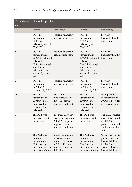| Case study<br>site | Financial profile                                                                                                                                         |                                                                                                                                  |                                                                                                                                                |                                                                                                                           |
|--------------------|-----------------------------------------------------------------------------------------------------------------------------------------------------------|----------------------------------------------------------------------------------------------------------------------------------|------------------------------------------------------------------------------------------------------------------------------------------------|---------------------------------------------------------------------------------------------------------------------------|
|                    | Purchaser                                                                                                                                                 | Provider(s)                                                                                                                      | Purchaser                                                                                                                                      | Provider(s)                                                                                                               |
| A                  | PCT in<br>turnaround<br>2005/06; in<br>balance by end of<br>2006/07                                                                                       | Provider financially<br>healthy throughout                                                                                       | PCT in<br>turnaround<br>2005/06; in<br>balance by end of<br>2006/07                                                                            | Provider<br>financially healthy<br>throughout                                                                             |
| $\mathbf{B}$       | PCT in<br>turnaround in<br>2005/06; achieved<br>balance by<br>2007/08 although<br>with historic<br>debt which was<br>eventually written<br>$\mathrm{off}$ | Provider financially<br>healthy throughout                                                                                       | PCT in<br>turnaround in<br>2005/06; achieved<br>balance by<br>2007/08 although<br>with historic<br>debt which was<br>eventually written<br>off | Provider<br>financially healthy<br>throughout                                                                             |
| $\mathsf{C}$       | PCT in<br>turnaround<br>in 2005/06;<br>recovered by 2007                                                                                                  | Provider financially<br>healthy throughout.                                                                                      | PCT in<br>turnaround<br>in 2005/06;<br>recovered by 2007                                                                                       | Provider<br>financially healthy<br>throughout.                                                                            |
| D                  | PCT in<br>turnaround in<br>2005/06; PCT<br>improved but<br>remained finely<br>balanced                                                                    | Main provider<br>in turnaround in<br>2005/06; provider<br>remained in deficit                                                    | PCT in<br>turnaround in<br>2005/06; PCT<br>improved but<br>remained finely<br>balanced                                                         | Main provider<br>in turnaround in<br>2005/06; provider<br>remained in deficit                                             |
| E                  | The PCT was<br>throughout                                                                                                                                 | The main provider<br>financially healthy was in turnaround in<br>2005/06. Its position<br>improved but it<br>remained in deficit | The PCT was<br>financially healthy was in turnaround<br>throughout                                                                             | The main provider<br>in 2005/06. Its<br>position improved<br>but it remained in<br>deficit                                |
| $\mathbf{F}$       | The PCT was<br>in financial<br>turnaround in<br>2005/06. The<br>PCT remained in<br>financial difficulty                                                   | Several main acute<br>providers were in<br>financial difficulty<br>in 2005/06. Two<br>remained in financial<br>difficulty        | The PCT was<br>in financial<br>turnaround in<br>2005/06. The<br>PCT remained in<br>financial difficulty                                        | Several main acute<br>providers were in<br>financial difficulty<br>in 2005/06.<br>Two remained in<br>financial difficulty |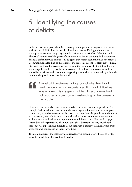# 5. Identifying the causes of deficits

In this section we explore the reflections of past and present managers on the causes of the financial difficulties in their local health economy. During each interview, participants were asked why they thought their case study site had fallen into deficit. Almost all interviewees' diagnosis of why their local health economy had experienced financial difficulties was unique. This suggests that health economies had not reached a common understanding of the causes of the problem. Responses often differed from site to site, and also between interviewees from the same site. Most notably, there was often a significant divergence between accounts offered by commissioners, and those offered by providers in the same site, suggesting that a whole-economy diagnosis of the causes of the problem had not been undertaken.

Almost all interviewees' diagnosis of why their local health economy had experienced financial difficulties was unique. This suggests that health economies had not reached a common understanding of the causes of the problem.

However, there were also issues that were raised by more than one respondent. For example, individual interviewees from the same organisation and who were employed concurrently would often offer similar analyses of how financial problems in their area had developed, even if this view was not shared by those from other organisations, or those employed by the same organisation at a different time. This would suggest that individual organisations often built up a shared narrative of why their health economy was experiencing difficulties, but that such a narrative did not always cross organisational boundaries or endure over time.

Thematic analysis of the interview data reveals seven broad perceived reasons for the initial financial difficulty (see Box 1 overleaf):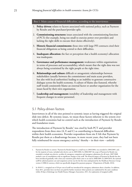#### Box 1. Main causes of financial difficulties, according to the interviewees

- 1. **Policy driven:** relates to factors associated with national policy, such as Payment by Results and the purchaser/provider split.
- 2. **Commissioning structures:** issues associated with the commissioning function of PCTs (for example, being too small to exercise power over providers and lacking the right skills to execute their duties effectively).
- 3. **Historic financial commitments:** those sites with large PFI contracts cited their financial obligations as being central to their difficulties.
- 4. **Inadequate allocation:** the fact or perception that a health economy's allocation was inadequate.
- 5. **Governance and performance management:** weaknesses within organisations in terms of processes and accountability, which meant that the right data was not always being scrutinised by the right people at the right time.
- 6. **Relationships and culture:** difficult or antagonistic relationships between stakeholders (usually between the commissioner and main acute providers, but also with local authorities) leading to an inability to generate constructive dialogue across the health economy. A culture of blame also featured, whereby staff would consistently blame an external factor or another organisation for the issues faced by their own organisation.
- 7. **Leadership and management:** instability of leadership and management with frequent changes in senior personnel.

### 5.1 Policy-driven factors

Interviewees in all of the sites pointed to systemic issues as having triggered the original slide into deficit. By systemic issues, we mean those factors inherent to the system over which health economies had no control such as the introduction of Payment by Results and foundation trusts.

The introduction of Payment by Results<sup>1</sup> was cited by both PCT and provider respondents from three sites (A, E and C) as contributing to financial difficulties within their health economies. Provider respondents from site E felt that Payment by Results put them at a disadvantage because, in more recent years, they had not been fully reimbursed for excess emergency activity,<sup>2</sup> thereby – in their view – unfairly

<sup>1.</sup> Payment by Results in context: 'Payment by Results began in a small way in 2003/2004, was extended in 2004/2005, and, for the majority of trusts, included only elective care in 2005/2006. In 2006/2007 the scope of Payment by Results was extended to include non-elective, accident & emergency, outpatient and emergency admissions for all trusts. 2007/2008 marked a year of consolidation with no significant changes to the tariff. The financial impact of Payment by Results has also been introduced gradually, with a four-year transition path which came to an end in 2008/2009. In 2009/2010, the national tariff for admitted patient care and outpatient activity was for the first time underpinned by the Healthcare Resource Group version 4 (HRG4) currency, which was specifically designed for payment purposes.' (Department of Health, 2010).

<sup>2.</sup> In 2010/11, a marginal rate of 30 per cent of tariff was introduced for emergency admissions above a baseline. In addition, from 2011, providers have not been not paid for further treatment where patients are readmitted for the same condition within 30 days of discharge (see Health Finance Managers Association, 2011, for explanation of marginal tariffs).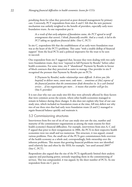penalising them for what they perceived as poor demand management by primary care. Conversely, PCT respondents from sites A and C felt that the new payment mechanism was unfairly weighted to the benefit of providers, especially early-wave foundation trusts. As one respondent put it:

*As a result of that early adoption of foundation status, the PCT agreed to tariff arrangements that weren't, I think, financially sensible. And as a result, it led to the PCT taking on significant financial debts.* (Site C, PCT)

In site C, respondents felt that the establishment of an early-wave foundation trust was at the heart of the PCT's problems. This came "with a sizable dollop of financial support" from the local PCTs and a political imperative for the trust to be seen to succeed.

One respondent from site F suggested that, because they were dealing with two early wave foundation trusts, they were "exposed to full Payment by Results" before other health economies. For some time, site F "abandoned" Payment by Results in favour of block contracts that they perceived as easier to manage. One provider in site F recognised the pressure that Payment by Results put on PCTs:

*It* [Payment by Results] *makes relationships more difficult. It drives you [the hospital] to deliver more, count more, code more... sometimes at* [the] *expense of the financial position that the commissioner finds themselves in. In a cash limited service… if one organisation gets more… it means that another will get less.*  (Site F, provider)

It is not clear why our case study sites felt they were adversely affected by these factors that were common across the system, where other health economies managed to remain in balance during these changes. It also does not explain why four of our case study sites, which included no foundation trusts at the time, fell into deficit nor why two of our three sites that had early wave foundation trusts (A and C) managed to regain financial balance quickly and maintain it.

#### 5.2 Commissioning structures

Interviewees from five out of six of our case study sites saw the size, number and maturity of the commissioner organisations as among the main reasons for their health economy's financial difficulties. For example, interviewees from sites A, C and F argued that prior to their reorganisation in 2006, the PCTs in their respective health economies were too small and too numerous. This structure, it was argued, created various problems. First, the small size of the PCTs gave commissioners little overview of the health economy as a whole and, correspondingly, little ownership over the inherent problems. This meant that growing financial problems were not identified until relatively late and often by the SHA; for example, "not until around 2005" (Site C, PCT).

Respondents also argued that the size of the PCTs significantly limited their analytic capacity and purchasing power, seriously impeding them in the commissioning of services. This was compounded, it was argued, by the sheer number of PCTs. As one respondent from site C put it: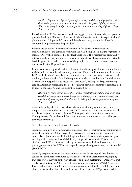*the PCTs began to develop in slightly different ways and develop slightly different debts and began to see less and less ability to control the power [of the providers]...* [Each was] *going in a different strategic direction and demanding different things.*  (Site C, PCT)

Interviews with PCT managers revealed a strong perception of a cohesive and powerful provider landscape. The vocabulary used by these interviewees in this respect included phrases such as "all-powerful" acute and foundation trusts, and the local health economy being "dominated by providers".

For some respondents, a contributory factor in this power dynamic was the institutional age of the commissioner, with the PCT being an "immature organisation" (Site D, PCT) when compared to the local acute trust. This rhetoric was disputed by interviewees from provider organisations, who argued that the commissioners actually hold the power in a health economy as "the people with the money always have the upper hand" (Site D, provider).

Commissioners and providers alike pointed to insufficient provision of community and social care in the local health economy as a cause. For example, respondents from sites B, C and F all argued that a lack of community and social care meant patients stayed too long in hospitals, that "too little step down care led to bed blocking" and there was a "reliance on hospital care to meet social care needs", leading to a large continuing care bill. Although recognising the need for greater provision, commissioners struggled to address the issue. As one respondent from site B put it:

*At board-to-board meetings, the PCT used to repeatedly say that the only things they could do to change and improve things was to change primary and community care and the only way they could do that was by taking activity away from the hospital.*  (Site B, provider)

As with the policy-driven factors above, the commissioning structures were not unique to our sites and many other small PCTs across the country managed to remain in balance despite the same challenges. This suggests that some of our sites were blaming external factors beyond their control rather than managing the challenges they faced effectively.

### 5.3 Historic financial commitments

A health economy's historic financial obligations – that is, their financial commitments dating back to before 2006 – were often perceived as contributing to a slide into deficit. Two of our sites had PFI buildings and both pointed to their repayment plans as being a direct cause of financial difficulty. Respondents from site F, for example, cited a "large PFI" arrangement, held by an acute trust in the health economy as putting pressure on the PCT as the hospital attempted to "grow its way out of trouble" (Site F, PCT).

Similarly, respondents from the main provider in site D also argued that the need to service PFI payments contributed substantially to their financial insecurity, arguing that they were otherwise both "very efficient" and "high performing". Data reveal that site D's expenditure on PFI was over five per cent of its income in 2006/07 and site F's expenditure was around 1.5 per cent of its income in 2006/07 – both figures were above the national median of expenditure on PFI in that year (0.9 per cent). While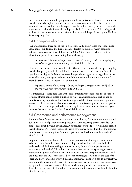such commitments no doubt put pressure on the organisations affected, it is not clear that they entirely explain their deficits as the repayments would have been factored into business cases and it could be argued that the task of management is to run their organisation within the financial envelope available. The impact of PFI is being further explored in the subsequent quantitative analysis that will be published by the Nuffield Trust in spring 2014.

### 5.4 Inadequate allocation

Respondents from three out of the six sites (Sites A, D and F) cited the "inadequate" allocation of funds from the Department of Health to the local health economy as being a root cause of their difficulties in 2006. Sites D and F believed that the allocation explained their continuing financial struggles:

*The problem is the allocation formula … what the acute providers were saying they needed outstripped the allocation of the PCTs.* (Site F, PCT)

However, respondents from two other sites (B and E) were more circumspect, arguing that the budgetary deficits in their local economies were experienced at a time of significant fiscal growth. Moreover, several respondents argued that, regardless of the initial allocation, managers had a responsibility to ensure that their organisation's expenditure matched its income. As one put it:

*My approach was always to say – 'listen, you've got what you've got...*[and] *it's in our gift to get back into balance'.* (Site D, PCT)

It is interesting to note here that, while some interviewees questioned the allocation formula, almost none pointed explicitly to wider contextual factors such as age or rurality as being important. The literature suggested that these issues were significant in terms of their impact on allocations. As with commissioning structures and policydriven factors, there appeared to be a tendency in some sites to blame factors beyond the organisation's control for their financial difficulties.

### 5.5 Governance and performance management

For a number of interviewees, an important contributory factor to their organisation's deficit was a lack of proper internal procedures. One recurring theme was a lack of proper accountability and governance. A respondent from site A, for example, argued that the former PCTs were "ticking the right governance boxes" but that "the systems were flawed", concluding that "you don't get into that level of deficit by accident" (Site A, PCT).

Respondents from sites B and D argued that poor commissioning procedures were to blame. These included poor "housekeeping", a lack of internal controls, little evidence-based decision-making or statistical analysis, no effort at performance monitoring within the PCT and no contractual levers to curtail spending or even markers to flag over-performance within an acute contract. Respondents from sites B and F felt that the PCT concentrated on "major strategic solutions" at the cost of the "here and now". Indeed, perceived financial mismanagement on a day-to-day level was a common theme across all sites, with one interviewer saying simply "they didn't have a grip on their finances". In one of the sites where the provider was in financial difficulty, interviewees cited a lack of clear accountability structures within the hospital (Site B, provider).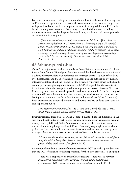For some, however, such failings were often the result of insufficient technical capacity and/or financial capability on the part of the commissioner, especially in comparison with providers. For example, one respondent from site C argued that the PCT in their health economy was always at a disadvantage because it did not have the ability to monitor costs generated by the provider in real time, and hence could never properly curtail activity. As they put it:

*...* [Providers were always able to] *spot activity and bill for it...* [But] *there was a six month lag before the PCT knew about it... for example, say a GP sends* [a] *patient to [an outpatient clinic], PCT incurs a cost, hospital clocks it and bills it, PCT finds out about it six months later when they get the spreadsheet – so we could see a huge rise in dermatology because the hospital has set up a new dermatology service which has sucked in activity. PCT would only know about it later...*  (Site C, PCT)

#### 5.6 Relationships and culture

One of the major issues cited by respondents from all sites was organisational culture. Respondents from PCTs and providers alike argued that health economies had fostered a culture where providers over-performed on contracts, where GPs over-referred and over-hospitalised, and PCTs often failed to manage demand sufficiently. Frequently, interviewees talked about the "blame" for the situation lying with others in the health economy. For example, respondents from site D's PCT argued that the acute trust in their area habitually over-performed in emergency care to cover its own PFI costs. Conversely, interviewees from the provider, and some from the PCT in site C, argued that local GPs were the root cause; often too ready to send patients to the acute trust, leading to a system that was "over-hospitalised and over-referred" (Site C, provider). Both practices were attributed to cultures and norms that had built up over years. As one respondent put it:

*Most doctors have been trained in* [site C] *and tend to work 'the* [site C] *way', which tends to default towards hospital services.* (Site C, PCT)

Interviewees from three sites (B, D and E) argued that the financial difficulties in their area could be attributed in part to poor primary care and, in particular, poor demand management by GPs and PCTs. An interviewee from site B argued that this was as much cultural as anything else, since GPs were "naturally very single minded about patient care" and, as a result, resisted any efforts to introduce demand management strategies. Another interviewee at the same site offered a similar perspective:

*GPs don't see* [demand management] *as their job. It will always be a very difficult thing for a GP to bring about because they never want to deny treatment to a patient if they think they need it.* (Site B, PCT)

A common claim from a variety of interviewees (from PCTs as well as providers) was that the PCT often failed to take responsibility for their own problems. As one put it:

[There was a propensity] *to externalise the problem.* [There was] *no internal acceptance of responsibility, no ownership... it is always the hospital overperforming, or GPs referring too much, or the social care...* (Site B, PCT)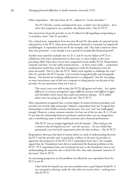Other respondents – this time from site  $D$  – talked of a "victim mentality":

*The PCT felt like a victim and blamed the trust...it didn't 'own' the problem... Even when they recognised it was a problem, they blamed others.* (Site D, PCT)

One interviewee from the provider in site  $D$  talked of staff regarding overspending as "a victimless crime" (Site D, provider).

On a related note, respondents from two sites (B and D), also spoke of a general inertia and passivity in the PCT, where poor performance (internal or external) was largely left unchallenged. A respondent from site B, for example, said: "they had a mind-set where they were powerless – even though it was a period of considerable financial growth".

Another issue raised by multiple sites (A, B, C and F) was the failure of PCTs to collaborate with other commissioners in their area, or more widely, in the years preceding 2006 (when three of our sites comprised several smaller PCTs). Respondents variously said that: "no-one really trusted anyone… so there wasn't really… cooperative working that would have made that arrangement [with the foundation trust] far more successful" (Site C); that the PCTs "didn't work together to challenge the trust" (Site A); and that the PCT became "a by-word for being physically and strategically distant... Not known for working collaboratively or collegiately" (Site B). According to some interviewees, part of this was a response to sharp practice on the part of the provider. As one interviewee from site F put it:

[The acute] *trusts were able to play* [the PCTs] *off against each other...* [to] *exploit differences in contract management (agree different contracts with different triggers and thresholds) which meant they could resist pathway redesign... PCTs talked about trusts* [as trying to] *'divide and rule'.* (Site F, PCT)

Most respondents recognised that a certain degree of tension between purchaser and provider was entirely right and proper. Indeed, a respondent from site A argued that relationships in their health economy had become "too cosy" and "not challenging" enough. However, a more common narrative (in four out of the six sites: B, C, D and F) was that the relationship between purchasers and providers was too antagonistic, and a contributing cause to their health economy's poor financial performance:

[The PCT] *were at strategic loggerheads with the hospital...* [They had] *got into a mind-set that the hospital was evil – even the non-execs...* [It was a belief that permeated] *every level of the organisation, from the chair on down...* (Site B, PCT)

Respondents often put this kind of tension down to a lack of understanding between the PCT and the provider and, in particular, a failure on the part of providers to appreciate the perspective of the PCT. PCT respondents from site C, for example, argued that the "foundation trust did not understand the financial problems in the PCTs". PCT respondents from site A pointed not just to the foundation trust as not understanding the issues but also to local GPs who, they said, remained "unaware of the issues" (Site A, PCT).

An interesting perspective on this problem was offered by one respondent from the PCT in site B:

*I don't think the hospital was any more predatory than a good hospital should be. It was very good at claiming, under the rules what was owed to them – nothing more.*  (Site B, PCT)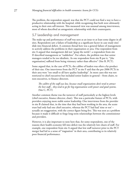The problem, the respondent argued, was that the PCT could not find a way to have a productive relationship with the hospital, while recognising that both were ultimately acting in their own self-interest. This measured view was unusual among interviewees, most of whom described an antagonistic relationship with their counterparts.

### 5.7 Leadership and management

The make-up and performance of staff was seen as an issue to at least some degree in all sites. Respondents saw a failure of leadership as a significant factor in case study sites' slide into financial deficit. A common thread here was a general failure of management to actively address the problems in their organisation or area. One respondent from site A argued that management did not "grasp the nettle"; a respondent from site D described management as "rudderless". For others, the problem was that senior managers tended to be too idealistic. As one respondent from site B put it, "[the organisation] suffered from being visionary rather than effective" (Site B, PCT).

Some argued that, in the case of PCTs, the calibre of leaders was often a by-product of their size. One interviewee from the PCT in site F said that the pre-2006 PCTs in their area were "too small to all have quality leadership". In most cases this was not restricted to chief executives but included senior leaders in general – from chairs, to non-executives, to finance directors.

*The calibre of the staff was low, because small organisations don't tend to attract the best staff... they tend to go for big organisations with power and good systems.*  (Site C, PCT)

Another common theme was the turnover of staff particularly at the highest levels (chief executive, finance director, chair). This was a particular feature of PCTs, with providers enjoying more stable senior leadership. One interviewee from the provider in site B claimed that, in the time that they had been working in the area, the acute trust had only had one chief executive, whereas the PCT had had 'nine or ten' – actually an exaggeration, with the correct figure being five. This was seen as a problem because it made it difficult to forge long-term relationships between the commissioner and providers.

However, it is also important to note here that, for some respondents, one of the reasons their health economy fell into deficit was the relatively low churn of staff. For example, one respondent from site A argued that low staff turnover prior to the PCT merger had led to a sense of "stagnation" in their area, contributing to its relatively poor financial performance.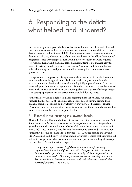# 6. Responding to the deficit: what helped and hindered?

Interviews sought to explore the factors that senior leaders felt helped and hindered their attempts to return their respective health economies to a sound financial footing. Actions taken to address financial difficulty appeared to take a relatively consistent form across all sites, whether successful or not: as all were in the official 'turnaround' programme, they were assigned a turnaround director or team and were required to produce a turnaround plan. In addition, all sites attempted to manage activity, mostly by setting up referral management centres/protocols and through the use of benchmarking in general practice, and all, to varying levels, addressed internal governance issues.

Perhaps where the approaches diverged was in the extent to which a whole economy view was taken. Although all sites talked about addressing issues within their own organisations, the sites that turned around quickly appeared also to focus on relationships with other local organisations. Sites that continued to struggle appeared more likely to have pursued solely short-term goals at the expense of taking a longerterm strategic perspective in the period immediately following 2006.

Rather than revealing a single formula for regaining financial balance, our analysis suggests that the success of struggling health economies in turning around their financial fortunes depended on how effectively they navigated a series of tensions. Of course, these tensions varied according to context, but thematic analysis identified some common trends. These are explored below.

### 6.1 External input: ensuring it is 'owned' locally

All sites had external help in the form of a turnaround director or team during 2006. Some brought in further external expertise during subsequent years. Respondents generally found this external input to be helpful – with the exception of some staff in two PCT sites (A and D) who felt that the turnaround team or director was not sufficiently directive or "made little difference" (Site A turned around quickly and site D remained in difficulty). In other sites, interviewees reported that external input helped to bridge barriers between commissioner and providers, and helped to escape a cycle of blame. As one interviewee reported:

[company x's input] *was very helpful because you had some fairly strong organisations with various different views all… I suppose, avoiding the blame bit about well it's your fault and, you know, it's why this hasn't happened or x, y and z hasn't happened… They brought interesting perspectives, they were able to benchmark data to show where we were at odds with others and to provide that external facilitation.* (Site F, PCT)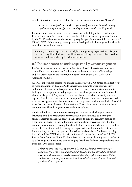Another interviewee from site E described the turnaround director as a "broker":

[name] *was a really effective broker… particularly within the hospital, putting together the programme office and running the turnaround.* (Site E, provider)

However, interviewees stressed the importance of embedding this external support. Respondents from site C complained that their initial turnaround plan was "imposed by the SHA" and consequently "owned by very few people and certainly not providers" (Site C, PCT). Subsequently, a new plan was developed, which was generally felt to be owned by the health economy.

Summary: External expertise can be helpful in improving organisational discipline and brokering difficult discussions. However, for change to endure, plans need to be owned and embedded by individuals in the site.

### 6.2 The importance of leadership: stability without stagnation

Leadership emerged as a key theme in this piece of work. Interviewees routinely stressed both the importance of high-calibre leaders and stability of leadership, and this was echoed in the Audit Commission's own analysis in 2006 (Audit Commission, 2006).

All PCTs experienced at least one change in leadership in 2006 (three as a direct result of reconfiguration) with some PCTs experiencing upwards of six chief executives and finance directors in subsequent years. Such a change was sometimes found to be helpful in bringing in a fresh perspective. Indeed, respondents in site A warned about the dangers of "stagnation" – there had been very stable leadership across all organisations in the economy in the run-up to 2006 and some interviewees asserted that the management had become somewhat complacent, with the result that financial issues had not been addressed. An injection of "new blood" from outside the health economy was felt to bring new ideas and a new culture.

On the other hand, many interviewees argued that too much change in senior leadership could be problematic. Interviewees in site F pointed to a change in senior leadership at a crucial point in their efforts to turn the economy around as a contributing factor in their difficulties. Accounts from this site suggest that the economy was initially recovering but then declined once more when several members of the PCT's senior team left, leaving the organisation with an interim chief executive for around a year. PCT and provider interviewees talked about "problems creeping back in" and the PCT losing "its grip on finances" during this time (Site F, PCT). Respondents from sites B and D also referred to constantly changing senior leadership as a challenge, with providers acknowledging that the turbulence was problematic for them too. One commented:

*I think in their* [the PCT's] *defence, a lot of it was because everything kept changing. You spend so much time on that process, and you lose all the corporate memory and you have to rebuild relationships with people like ourselves. But to me that was* [a] *more fundamental issue than whether or not they had financial problems.* (Site F, provider)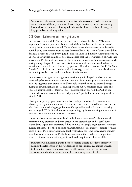Summary: High-calibre leadership is essential when steering a health economy out of financial difficulty. Stability of leadership is advantageous in maintaining financial balance and not allowing a deficit to arise; however a lack of change for long periods can risk stagnation.

### 6.3 Commissioning at the right scale

Interviewees from both PCTs and providers talked about the size of PCTs as an important factor not just in explaining their difficulties, but also in the success of turning health economies around. Three of our case study sites were reconfigured in 2006, having been created from at least three smaller PCTs – two of them turned their financial situations around very quickly, one remained in difficulty. Without exception, all PCT interviewees from these sites commented that the reorganisation of PCTs into fewer larger PCTs aided their recovery for a number of reasons. Some interviewees felt having a single larger PCT was beneficial insofar as it allowed the board to have an overview of the whole (or at least a large portion of) health economy. Two PCTs (Sites A and C) credited this as central to their efforts to get a grip on the financial situation because it provided them with a single set of information.

Interviewees also argued that larger commissioning units helped to rebalance the relationship between commissioner and provider. Prior to reorganisation, interviewees in PCTs suggested that providers had been able to use their size to their advantage during contract negotiations – as one respondent put it, providers could "play one PCT off against another" (Site C, PCT). Reorganisation allowed the PCT in site F to benchmark across a wider area, helping it to "spot bad behaviour" in providers (Site F, PCT).

Having a single, large purchaser rather than multiple, smaller PCTs was seen as advantageous by some respondents from acute trusts, who claimed it was easier to deal with fewer commissioning organisations. One provider in site F said that working with a single PCT facilitated longer-term planning, by better ensuring the relationship between the organisations remained consistent.

Larger purchasers were also considered to facilitate economies of scale, improved commissioning practices, and were better able to attract high-calibre staff. Some respondents argued that their site's failure to move to a single organisational structure quickly contributed to their ongoing financial troubles. For example, despite formally being a single PCT, site F retained a locality structure for some time, having initially been formed of a number of PCTs. Interviewees said that this led to competition between different commissioning units and to the replication of scarce skills.

Summary: Commissioning units need to operate at scale in order to effectively balance the relationship with providers and to benefit from economies of scale. Collaboration across commissioners also offers an overview of the financial situation and therefore enables more effective management of risk.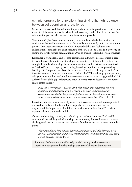### 6.4 Inter-organisational relationships: striking the right balance between collaboration and challenge

Many interviewees said that efforts to improve their financial position were aided by a sense of collaboration across the whole health economy, underpinned by constructive relationships, particularly between commissioner and provider.

Sites A and C (the fastest to turn around), for example, made deliberate efforts to work across the health economy and to foster collaboration early on in the turnaround process. One interviewee from site A's PCT remarked that the "solution is in collaboration". Similarly, the chief executive of the PCT in site C made it a priority on joining the newly-formed organisation in 2006 to change relationships with providers.

Respondents from sites D and F (both remained in difficulty) also recognised a need to foster better collaborative relationships, but admitted that they failed to do so early enough. In site F, relationships between commissioner and providers were described as "strained" and the language used during interviewees pointed to long-standing hostility: PCT respondents talked about providers "growing their way of trouble"; one interviewee from a provider commented: "I think the PCT tried [to play the providers] off against one another" and another interviewee at one acute trust suggested the PCT suffered from a skills gap. Efforts were made in recent years to foster cross-economy relationships in site F:

*there was a recognition… back in 2008 that, rather than developing our own initiatives and efficiencies, there is a system to sit down and have a robust conversation about what the financial problems were in the system as a whole… it teased out what the problems were for the system as a whole.* (Site F, PCT)

Interviewees in sites that successfully turned their economies around also emphasised the need for collaboration beyond just hospitals and commissioners. Indeed, they stressed the importance of building links with local authorities, GPs, patient representatives and the wider public.

One note of warning, though, was offered by respondents from sites B, C and E, who argued that while good relationships are important, there still needs to be some challenge and tension to prevent relationships from being too cosy. As one respondent put it:

*There have always been tensions between commissioners and [the hospital] for as long as I can remember. But if there wasn't a tension you'd wonder if we were doing our job properly.* (Site E, PCT)

Summary: Deficits are more effectively tackled through a whole economy approach, underpinned by relationships that are collaborative but not cosy.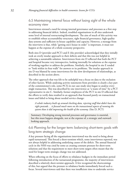### 6.5 Maintaining internal focus without losing sight of the whole economy view

Interviewees stressed a need for strong internal governance and processes as a first step in addressing financial deficit. Indeed, troubled organisations in all sites undertook some level of internal restructuring/development. The aim of much of this activity was to establish robust accountability structures, tight financial governance, high-quality data systems and sufficient in-house capability and capacity. However, a message from the interviews is that, while "getting one's house in order" is important, it must not happen at the expense of a whole economy perspective.

Both sites D (provider and PCT) and E (the provider) acknowledged that they initially took an overly insular approach to their deficits and that this was not helpful in achieving a sustainable solution. Interviewees from site D reflected that both the PCT and hospital became very introspective, looking internally for solutions at the expense of working together to address the problems. Similarly, the hospital in site E tended to "look within its four walls" for answers to its problems. The insular approach in site D was blamed by some interviewees for the slow development of relationships, as described in the section above.

The other approach that was felt to be unhelpful was a focus on data to the exclusion of other factors. While analysing activity statements from providers is clearly a key part of the commissioner's role, some PCTs in our case study sites began to analyse every single transaction. This was described by one interviewee as "a waste of time" by a PCT representative in site C. Similarly, former employees of the PCT in site D reflected that the efforts to verify data resulted in an approach that focused purely on transactional issues and failed to bring about needed service change:

*A whole industry built up around checking data, rejecting stuff that didn't have the right postcode… it focused much more on the transactional aspects of running the system than it did improving the health of the economy.* (Site D, PCT)

Summary: Developing strong internal processes and governance is essential, but this must happen alongside, not at the expense of, a strategic and outwardlooking approach.

6.6 Planning for the longer term: balancing short-term goals with long-term strategic change

A key pressure facing all the organisations interviewed was the need to bring about rapid turnaround. This forced a short-termism which, some interviewees reported, was not always helpful in addressing underlying causes of the deficit. The annual financial cycle in the NHS was cited by some as creating constant pressure for short-term solutions and that the requirement to meet short-term targets often meant that the need for longer-term strategic change was not addressed.

When reflecting on the focus of efforts to rebalance budgets in the immediate period following introduction of the turnaround programme, the majority of interviewees described a relatively short-termist approach. A few recognised the shortcomings of this, but argued that the pressure to rebalance books immediately forced such a focus. Several interviewees said that there was insufficient time to undertake service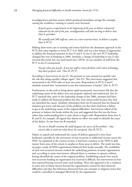reconfiguration and that actions which produced immediate savings (for example, cutting the workforce, training or estates) were favoured.

*If you're given a requirement at the beginning of the year to deliver a financial reduction by the end of the year, reconfiguration will take too long to deliver that.*  (Site F, provider)

*We actually took 500 staff out, some on a non-recurrent basis, to deliver a surplus.*  (Site F, PCT)

Making short-term cuts to training and estates had been the dominant approach in the PCTs that came together to form PCT A in 2006, and was a key feature of approaches to address the financial situation in sites D and F. In site A, the new PCT leadership changed this way of thinking in 2006. Similarly, a change of leadership in site D also reversed this trend, but not until much later (2010). As one member of staff from the PCT in site D commented:

#### *You get what you pay for. If you put staff in rotten facilities with rotten technology, they don't perform well.* (Site D, PCT)

According to interviewees in site D, "the pressure to turn around too quickly runs the risk that things quickly collapse again" (Site D). This interviewee suggested that turnaround in the NHS takes at least two years. Respondents in PCTs A and C similarly stressed that "turnaround is easy but maintenance is harder" (Site A, PCT).

Furthermore, in the rush to bring about rapid turnaround, interviewees felt that the underlying causes of the deficit were not properly explored and understood. Site A's PCT reported that, prior to the leadership change in late 2006, attempts had been made to address the financial problem but they were unsuccessful because they had not identified the causes. Similarly, informants from site B reported that the financial situation got worse and that part of the problem was that there had been a failure to get at the underlying causes of the original difficulties. Interviewees talked of the pressure to balance the books within the year and suggested that this was the focus rather than understanding how it came about to begin with. Respondents from sites A, B, and D, for example, all argued that almost no effort was made to identify the cause of the deficit. As one from site B remarked:

#### *No one at [health economy B] could diagnose the source of the problem – they weren't able to work out what drove the overspend.* (Site B, PCT)

Failure to unpick and understand the causes of deficits appeared to have been facilitated, partially, by the movement of non-recurrent or additional income across the NHS. As explained in the context section, it had been common in the NHS to shift money from areas of the system in surplus to those areas in deficit. The result was that, on paper, nearly all NHS organisations balanced their books annually. The availability of such non-recurrent income masked the underlying positions of many organisations and, according to some interviewees, allowed them to continue to operate without having identified the causes of the original problem. Establishing exactly how much non-recurrent funding an organisation has received is difficult, but interviewees in four sites reported having received some such funding. There also appeared to be a tendency in some sites to blame factors beyond the organisation's control for their financial difficulties and that this behaviour distracted from any attempts to diagnose issues that could be controlled or managed effectively by the organisation.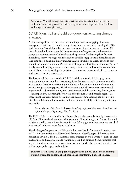Summary: While there is pressure to meet financial targets in the short term, addressing underlying causes of deficits requires careful diagnosis of the problem and long-term strategic change.

### 6.7 Clinician, staff and public engagement: ensuring change is 'owned'

A clear message from the interviews was the importance of engaging clinicians, management staff and the public in any change and, in particular, ensuring that GPs both 'own' the financial problem and see it as something that they can control. All sites admitted to having struggled in some element of engagement and some sites recognised its importance relatively late in the process of addressing their financial difficulties. Interviews suggested that staff and public engagement is difficult and can take time but, if done in a timely manner, can be beneficial to overall efforts to turn around the financial situation. Part of the challenge in at least four of the sites (A, B, D and E) was in bringing about a culture change within the troubled organisation from one of blame or externalising the problem, to one where everyone within the economy understood that they have a role.

The former chief executive of site C's PCT said they prioritised GP engagement early on in the turnaround process, recognising the need to begin conversations with local practice-based commissioning in order to address concerns about elective, nonelective and prescribing spend. The chief executive added that money was invested in practice-based commissioning and, while it took a while to develop, they began to see an impact by 2008 (roughly two years after the turnaround process began). GP engagement also came late in site A; practice-based commissioning had been seen as PCT-led and slow and bureaucratic, and it was not until 2009 that GPs began to take ownership.

#### *It's about ownership.*[As a GP]*, every time I sign a prescription, every time I make a referral, I'm spending money.* (Site A, PCT)

The PCT chief executive in this site blamed historically poor relationships between the PCT and GPs for the slow culture change among GPs. Although site A turned around relatively rapidly, several interviewees said that GP engagement in subsequent years had been central to maintaining financial balance.

The challenge of engagement of GPs and others was keenly felt in site B. Again, poor PCT–GP relationships were blamed and former PCT staff suggested there was little clinical leadership at the PCT. A similar story emerged in site F where frequent changes in structures and leadership made relationship building difficult. Some suggested that organisational change and a pressure to turnaround quickly (see above) inhibited their ability to properly engage stakeholders.

Summary: Staff, clinician and public engagement is difficult and time-consuming, but it is crucial for bringing about change and maintaining financial balance.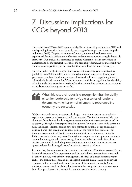# 7. Discussion: implications for CCGs beyond 2013

The period from 2006 to 2010 was one of significant financial growth for the NHS with total spending increasing in real terms by an average of seven per cent a year (Appleby and others, 2009). Despite this context of growth, numerous health economies experienced financial deficits and difficulties, and some continued to struggle financially after 2010. Our analysis has attempted to explore what senior health service leaders understood to be the principal reasons for the original problems and to understand why some areas managed to regain financial health while others continued to struggle.

This study adds weight to many of the themes that have emerged in the literature published from 2005 to 2007, which pointed to internal issues of leadership and governance, combined with the pressures of national policies, as explaining financial difficulties in health economies. What this research adds is a recognition that the ability of senior leadership to navigate a series of tensions determines whether or not attempts to rebalance the economy are successful.

What this research adds is a recognition that the ability of senior leadership to navigate a series of tensions determines whether or not attempts to rebalance the economy are successful.

While contextual factors can present challenges, they do not appear to completely explain the success or otherwise of health economies. The literature suggests that the allocation formula may disadvantage some areas and some interviewees perceived this as a factor, although others argued that the culture of an organisation could overcome such challenges. Previous studies have also pointed to national policy as leading to deficits. Some sites cited policy issues as being at the root of their problems, but these were common to all health economies, not just those in financial difficulty. Others maintained that early wave foundation trusts put particular pressure on health economies but, again, other areas managed to maintain balance in the face of such developments and, indeed, the presence of one or more foundation trusts does not appear to have disadvantaged two of our sites in regaining balance.

In some sites, there appeared to be a tendency to attribute difficulties to external factors beyond the control of the organisation and this took the focus away from what could be achieved locally with effective management. The lack of a single narrative within each of the six health economies also suggested a failure in some cases to undertake a process to diagnose and understand the cause of the financial difficulty. Some interviewees recognised this failure but justified it by citing short-term pressures or a lack of cooperation on the part of other members of the health economy.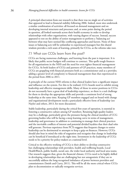A principal observation from our research is that there was no single set of activities that appeared to lead to financial stability following 2006. Indeed, most sites undertook a similar combination of activities: all focused on demand management and on developing internal structures and processes; and, at some point during the period in question, all looked outwards across their health economy in order to develop relationships with other organisations, with varying degrees of success. Instead, success appeared to rest on the ability of senior management to perform a 'balancing act' between what may have seemed like conflicting approaches and factors. None of these issues or balancing acts will be unfamiliar to experienced managers but this shared wisdom provides a rich seam of learning, primarily for CCGs, as the reforms take root.

### 7.1 What can CCGs learn from the past?

CCGs are facing numerous challenges, and learning from the past is important. It is likely that public sector budgets will continue to contract. This spells tough finances for all organisations in the NHS and the need for even tighter financial management for CCGs. As both leaders of CCGs and partners of GP practices, many members of CCGs are grappling with financial pressures both as a commissioner and as a provider, adding a greater level of complexity to financial management than that experienced in the period from 2006 to 2011.

A principle of the current NHS reforms is that clinical leaders have a significant impact and influence on the system. For this to be realised, CCG boards need to exhibit strong leadership and effective management skills. Many of those in senior positions in CCGs do not necessarily have a great deal of leadership experience, so there is a real challenge for them to develop the appropriate skills and provide a consistent level of strong leadership at the same time. Keeping GP members engaged and on board with change and organisational development needs a particularly effective form of leadership (see Naylor and others, 2013, for more discussion).

Stable leadership, particularly during the critical first years of operation, is essential in fostering a constructive culture among GP members. Retaining high-quality leaders may be a challenge, particularly given the pressures facing the clinical members of CCG governing bodies who will be facing a steep learning curve in terms of management, leadership and governance in addition to continuing to manage their clinical practices and the inevitable conflicts of interest and potential divided loyalties that their dual roles will generate. Previous experience from PCTs suggests that frequent changes to senior leadership can be detrimental to attempts to keep a grip on finances. However, CCGs should also bear in mind the risks of stagnation and recognise that change in leadership can be beneficial if introduced at the right time. Investment in the leadership of CCGs needs to be a priority for policy-makers at a national level.

Critical to the effective working of CCGs is their ability to develop constructive but challenging relationships with providers, health and wellbeing boards, Local HealthWatch, public health, social care, the wider local authority and local area teams. Our research suggests that, given the financial climate, CCGs need to be highly skilled in developing relationships that are challenging but not antagonistic if they are to successfully address the long-recognised imbalance of power between providers and commissioners (Smith and Curry, 2011). This will be all the more critical where CCGs plan to decommission or radically reorganise services.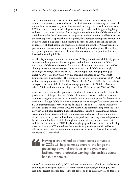The system does not necessarily facilitate collaboration between providers and commissioners, so a significant challenge for CCGs is in demonstrating the potential mutual benefits to secondary care clinicians and their organisations. In some areas, a CCG may need to forge relationships with multiple bodies and the governing body will need to recognise the value of investing in those relationships. CCGs also need to carefully consider the relative roles of competition and cooperation, and be able to use the most appropriate approach when required, developing an appropriate relationship with providers. Being able to hold effective discussions about financial and service issues across all local health and social care bodies is important for CCGs wanting to gain common understanding of priorities and develop workable plans. This is likely to require significant investment of time, which of course is at a premium for those involved in running CCGs.

Another key message from our research is that PCTs got into financial difficulty partly as a result of being too small to wield power and influence in the system. When introduced, CCGs were allowed to form organically with no minimum size specified, although anecdotal evidence suggests that some very small CCGs were strongly encouraged to merge. There are 211 CCGs with populations ranging from just under 70,000 to around 900,000, with a median population of 226,000 (NHS Commissioning Board, 2012). This compares to the previous arrangement of 151 PCTs with a median population of 284,000 (Naylor, 2012). Prior to 2006 when the deficits emerged, there were 303 PCTs with an average population of 160,000 (Martin and others, 2008), with the number being reduced to 151 in the period 2006 to 2010.

As many CCGs have smaller populations and smaller footprints than their immediate predecessors, it is imperative that CCGs collaborate and work together to ensure that commissioning decisions are made at a scale that is most appropriate for the service in question. Although CCGs do not commission as wide a range of services as predecessor PCTs, maintaining an overview of the financial health of a total locality will help to avoid the situation that arose in 2005/06 where PCTs commissioning from the same providers could have diverging financial situations. Having a streamlined approach across a number of CCGs will help commissioners to challenge the prevailing power of providers in the system and facilitate more productive working relationships across health economies. It is possible that regional commissioning support units (CSUs) and the local area teams of NHS England might play an important role in facilitating these relationships. CSUs also have the potential to provide strong, shared backoffice functions as well as to maintain an overview of the wider financial picture that individual CCGs may lack.

Having a streamlined approach across a number of CCGs will help commissioners to challenge the prevailing power of providers in the system and facilitate more productive working relationships across health economies.

One of the issues identified by PCT staff was the asymmetry of information between commissioners and providers, with commissioners disadvantaged by lengthy time lags in the receipt of acute data. Although less of an issue in recent years as data feeds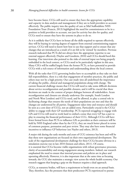have become faster, CCGs still need to ensure they have the appropriate capability and capacity in data analysis and management if they are to hold providers to account effectively. The public inquiry into the quality of care at Mid Staffordshire NHS Foundation Trust (Francis, 2013) highlighted the need for commissioners to be in a position to hold providers to account, not just for activity but also for quality, and CCGs need to ensure they have the systems in place to do so.

As it is unlikely that CCGs have in-house all the skills required to operate effectively, they will be buying in varying degrees of support from external commissioning support services. CCGs will need to know how best to use that support and to ensure that any changes that are introduced as a result of it are felt to be 'owned' by members. Previous research indicated that PCTs did not always have the appropriate expertise to use external support effectively (Naylor and Goodwin, 2010) and CCGs should heed this learning. Our interviews also pointed to the risks of external input not being properly embedded in the local context, so CCGs need to be particularly vigilant in this area. Many CSUs will be staffed largely from the former PCTs, so have potential to provide CCGs with a rich source of information and understanding about the local context.

With all the tasks that CCG governing bodies have to accomplish as they take on their full responsibilities, there is a risk that engagement of member practices, the public and others may not be a high priority. Our case study sites all underlined the importance of taking the public, clinical and managerial populations along with change. The current financial challenge means that CCGs will need to take some difficult decisions about service reconfiguration and possible closures, and it will be crucial that these decisions are made in the context of proper dialogue between all stakeholders. Acute reconfiguration and closures are already underway (for example, South London and North West London) and CCGs need, and be allowed, to play a central role in facilitating change that ensures the needs of their populations are met and that the changes are understood by all parties. Engagement takes time and resource and should be seen as a core duty of CCGs, not an added extra. Particularly crucial is the CCGs' ability to engage with their GP membership. PCTs reported struggling to engage with GPs and CCGs will need to work hard to embed a sense that every GP has a part to play in ensuring the financial performance of their CCG. Although CCGs will have fewer formal levers than PCTs to influence GPs as providers as their contracts will be held by NHS England rather than by the CCG, they are much better placed in terms of common purpose, persuasion and peer review. They may also have some financial incentives to influence GP behaviour (see Naylor and others, 2013).

A major risk during the early months and years of CCG existence has been and will be that these new organisations are focused on their own organisational development. The scale of the organisational development challenge for these CCGs became obvious in a simulation exercise run in late 2010 (Imison and others, 2011). Of course, it is essential that CCGs become viable organisations with robust governance processes, clarity of accountability and strong engagement among members. Indeed, our research emphasised the need to ensure that internal processes and policies are in place and operating effectively. However, it is also important that at the same time as focusing inwards, the CCG also maintains a strategic view across the whole health economy. Our research suggests that keeping a grip on the finances requires a dual approach.

CCGs, as statutory bodies, will have a requirement to break-even on an annual basis. They, therefore, face the pressures that their predecessor PCTs experienced to pursue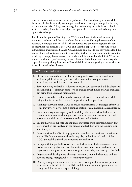short-term fixes to immediate financial problems. Our research suggests that, while balancing the books annually is an important duty, developing a strategy for the longer term is also essential. A long-term strategy for maintaining financial balance should seek to effectively identify potential pressure points in the system and to bring about appropriate change.

Finally, the last point of learning that CCGs should heed is the need to identify mounting problems and the cause of any financial issue. During the course of our research, it emerged that not all health economies had properly diagnosed the causes of their financial difficulties post-2006 and that this appeared to contribute to the difficulties in maintaining balance. CCGs should take time to properly understand the causes of any difficulties in order to ensure they tackle the right issues and to avoid the tendency to simply blame external factors beyond the control of the CCG. What this research and much previous analysis has pointed to is the importance of managerial capability in unpicking the causes of financial difficulties and getting to grips with the issues that need to be addressed.

#### Box 2: Ten lessons for CCGs

- 1. Identify and assess the reasons for financial problems as they arise and avoid attributing difficulties solely to external pressures (for example, resource allocations) over which there is little control.
- 2. Strive for strong and stable leadership to ensure consistency and aid development of relationships – although some level of change, if well timed and well managed, can bring fresh ideas and momentum.
- 3. Foster constructive relationships between providers and commissioners, while being mindful of the dual roles of competition and cooperation.
- 4. Work together with other CCGs to ensure financial risks are managed effectively – this may involve developing a complex matrix of commissioning arrangements.
- 5. Invest in management capacity and capability, whether provided in-house or bought in from commissioning support units or elsewhere, to ensure internal governance and financial processes are efficient and effective.
- 6. Ensure that where support and input are purchased from external suppliers that CCG members are involved in the process and feel they own the resulting plans and strategies.
- 7. Invest considerable effort in engaging with members of constituent practices to ensure GPs fully understand the role they play in the financial health of their CCG, and feel that they have ownership and influence.
- 8. Engage with the public (this will be critical when difficult decisions need to be made, particularly about service closures) and take other health and social care organisations along with any major change to ensure they are managed effectively.
- 9. Organisational development, although important, should be balanced with an outward-facing, strategic, whole-economy perspective.
- 10. Develop a long-term financial strategy as well dealing with immediate pressures – the financial health of CCGs will depend, in some cases, on significant service change, which requires strategic thinking.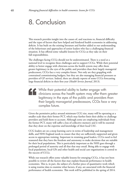### 8. Conclusion

This research provides insight into the causes of, and reactions to, financial difficulty and the types of factors that have helped and hindered health economies in addressing deficits. It has built on the existing literature and further added to our understanding of the behaviours and approaches of senior leaders who face a challenging financial situation. It has offered some valuable lessons for CCGs as they take on their full responsibilities.

The challenges facing CCGs should not be underestimated. There is a need at a national level to recognise these challenges and to support CCGs. While their potential ability to better engage with clinicians across the health system may offer them greater legitimacy in the eyes of the public and providers than their largely managerial predecessors, CCGs face a very complex future. Not only are they grappling with constrained commissioning budgets, but they are also managing financial pressures as providers of GP services. Indeed, there are already reports of some CCGs forecasting large financial deficits in their first year (*Health Service Journal*, 2013).

While their potential ability to better engage with clinicians across the health system may offer them greater legitimacy in the eyes of the public and providers than their largely managerial predecessors, CCGs face a very complex future.

Given the permissive policy around minimum CCG size, many will be operating at a smaller scale than their former PCT, which may further limit their ability to challenge providers and hold them to account. Although some are employing individuals from the former PCT, many will suffer a loss of collective memory and it will be essential that they draw on the expertise and knowledge of their local CSU.

CCG leaders are on a steep learning curve in terms of leadership and management skills, and NHS England needs to ensure that they are sufficiently supported and given access to appropriate training. Important in retaining good leaders, CCGs need to feel reassured that they have the freedom and autonomy to make decisions that are suitable for their local populations. This is particularly important as the NHS goes through a prolonged period of austerity and all that that may entail. Being able to engage with local populations, local GPs and other health and social care organisations is central to the success of CCGs.

While our research offers some valuable lessons for emerging CCGs, it has not been possible to review all the factors that may explain financial performance in health economies. This is, in part, the subject of a further piece of quantitative work which is using routine data to examine what factors, if any, are associated with the financial performance of health economies. This work will be published in the spring of 2014.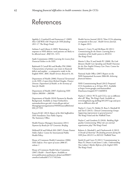### References

Appleby J, Crawford R and Emmerson C (2009) *How Cold Will it Be? Prospects for NHS funding: 2011-17.* The King's Fund.

Asthana S and Gibson A (2005) 'Rationing in response to NHS deficits: rural patients are likely to be affected most', *BMJ* 331, 1472.

Audit Commission (2006) *Learning the Lessons from Financial Failure in the NHS.* 

Badrinath P, Currell RA and Bradley PM (2006) 'Characteristics of primary care trusts in financial deficit and surplus – a comparative study in the English NHS', *BMC Health Services Research* 6, 64.

Department of Health (2006) *Financial Turnaround in the NHS: A report from Richard Douglas, Finance Director, Department of Health, to the Secretary of State for Health.* 

Department of Health (2007) *Explaining NHS Deficits 2003/04 – 2005/06.*

Department of Health (2010) Payment by Results Background. Available at: http://webarchive. nationalarchives.gov.uk/+/www.dh.gov.uk/en/ [Managingyourorganisation/NHSFinancialReforms/](http://webarchive.nationalarchives.gov.uk/+/www.dh.gov.uk/en/Managingyourorganisation/NHSFinancialReforms/DH_077259) DH\_077259

Francis R QC (2013) *Report of the Mid Staffordshire NHS Foundation Trust Public Inquiry.*  The Stationery Office.

Health Finance Managers Association (2011) *Payment by Results for GP Consortia: Briefing.*

Hellowell M and Pollock MA (2007) *Private Finance Public Deficit.* Centre for International Public Health Policy.

House of Commons Health Committee (2006) *NHS Deficits: First report of session 2006-07, volume 1.* 

House of Commons Health Select Committee (2007) *Health – Fourth Report.* Available at: [www.publications.parliament.uk/pa/cm200607/](www.publications.parliament.uk/pa/cm200607/cmselect/cmhealth/171/17102.htm) cmselect/cmhealth/171/17102.htm

Health Service Journal (2013) 'Nine CCGs planning overspends in first year'. *Health Service Journal*, 21 August 2013.

Imison C, Curry N and McShane M (2011) *Commissioning for the Future: Learning from a simulation of the health system in 2013/14.* The King's Fund.

Martin S, Rice N and Smith PC (2008) *The Link Between Health Care Spending and Health Outcomes for the New English Primary Care Trusts.* Centre for Health Economics.

National Audit Office (2007) Report on the NHS Summarised Accounts 2006-08: *Achieving financial balance.* 

NHS Commissioning Board (2012) Proposed CCG boundaries as at 26 June 2012. Available [at https://www.google.com/fusiontables/](https://www.google.com/fusiontables/DataSource?snapid=S571166HfO4) DataSource?snapid=S571166HfO4

Naylor C (2012) 'PCTs and CCGs: not so different after all?' Blog. The King's Fund. Available at: [www.kingsfund.org.uk/blog/2012/07/ccgs-and-pcts](www.kingsfund.org.uk/blog/2012/07/ccgs-and-pctsnot-so-different-after-all)not-so-different-after-all

Naylor C, Curry N, Holder H, Ross S, Marshall M and Tait E (2013). *Clinical Commissioning Groups: Supporting improvement in general practice?* The King's Fund and the Nuffield Trust.

Naylor C and Goodwin N (2010). *Building Highquality Commissioning: What role can external organisations play?* The King's Fund.

Roberts A, Marshall L and Charlesworth A (2012) *A Decade of Austerity? The funding pressures facing the NHS from 2012/11 to 2021/22.* Nuffield Trust.

Smith JA and Curry N (2011) 'Commissioning' in Mays N, Dixon A and Jones L (eds), *Understanding New Labour's Market Reforms of the English NHS.*  The King's Fund.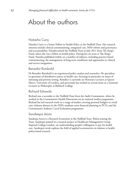### About the authors

### Natasha Curry

Natasha Curry is a Senior Fellow in Health Policy at the Nuffield Trust. Her research interests include clinical commissioning, integrated care, NHS reform and governance and accountability. Natasha joined the Nuffield Trust in July 2011 from The King's Fund, where she was a fellow in health policy. During her six years at The King's Fund, Natasha published widely on a number of subjects, including practice-based commissioning, the management of long-term conditions and approaches to clinical and service integration.

#### Benedict Rumbold

Dr Benedict Rumbold is an experienced policy analyst and researcher. He specialises in questions of distributive justice in health care, focusing in particular on issues of rationing and priority setting. Benedict is currently an Honorary Lecturer at Queen Mary's, University of London, and previously has worked in several stints as a Sessional Lecturer in Philosophy at Birkbeck College.

### Richard Edwards

Richard was a secondee to the Nuffield Trust from the Audit Commission, where he worked in the Commission's Health Directorate on its national studies programme. Richard has led research work on a range of studies covering personal budgets in social care; sickness absence in the NHS; medium-term financial planning in PCTs; and the Commission's Auditors' Local Evaluation programme.

### Sandeepa Arora

Sandeepa Arora is a Research Economist at the Nuffield Trust. Before joining the Trust, Sandeepa assisted in a research project at Healthcare Management Group, Imperial College London, on understanding people's willingness to pay for health care. Sandeepa's work explores the field of applied econometrics in relation to health policy-based research.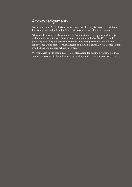### Acknowledgements

We are grateful to Mark Burkett, Anita Charlesworth, Andy McKeon, David Stout, Emma Knowles and Judith Smith for their roles as expert advisers to the work.

We would like to acknowledge the Audit Commission for its support of this project, including releasing Richard Edwards on secondment to the Nuffield Trust, and providing modelling and statistical expertise in its early phases. We would like to acknowledge David Stout, former Director of the PCT Network, NHS Confederation, who had the original idea behind this work.

We would also like to thank the NHS Confederation for hosting a workshop at their annual conference, at which the emerging findings of this research were discussed.